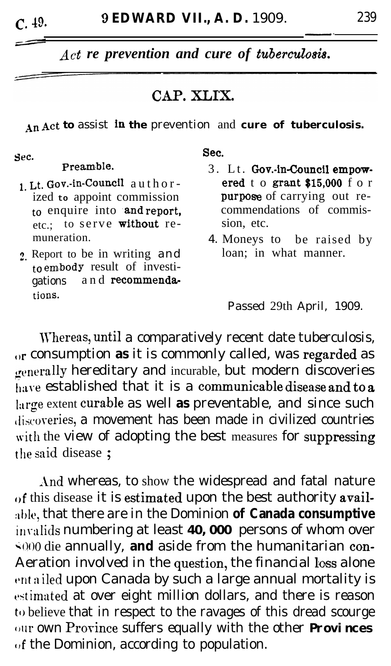*Act re prevention and cure of tuberculosis.* 

## CAP. XLIX.

An Act to assist in the prevention and cure of tuberculosis.

Sec.

## Preamble.

- 1. Lt. Gov.-in-council author ized **to** appoint commission to enquire into and report, etc.; to serve without remuneration.
- 2. Report to be in writing and to embody result of investigations and recommendations.

Sec.

- 3. Lt. Gov.-in-Council empowered to grant  $$15,000$  for purpose of carrying out recommendations of commission, etc.
- 4. Moneys to be raised by loan; in what manner.

Passed 29th April, 1909.

\Vhereas, unt,il a comparatively recent date tuberculosis, {It consumption **as** it is commonly called, was regarded as generally hereditary and incurable, but modern discoveries have established that it is a communicable disease and to a large extent curable as well as preventable, and since such discoveries, a movement has been made in civilized countries with the view of adopting the best measures for suppressing the said disease:

And whereas, to show the widespread and fatal nature of this disease it is estimated upon the best authority available, that there are in the Dominion of Canada consumptive invalids numbering at least **40, 000** persons of whom over  $\div 0.00$  die annually, **and** aside from the humanitarian con-Aeration involved in the question, the financial loss alone entailed upon Canada by such a large annual mortality is estimated at over eight million dollars, and there is reason to believe that in respect to the ravages of this dread scourge wr own Province suffers equally with the other **Provinces**  $\sigma$ f the Dominion, according to population.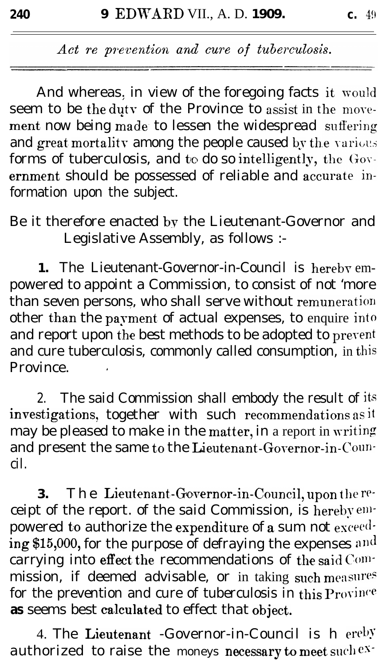Act re prevention and cure of tuberculosis.

And whereas, in view of the foregoing facts it would seem to be the duty of the Province to assist in the movement now being made to lessen the widespread suffering and great mortality among the people caused by the various forms of tuberculosis, and to do so intelligently, the Government should be possessed of reliable and accurate information upon the subject.

Be it therefore enacted by the Lieutenant-Governor and Legislative Assembly, as follows :-

1. The Lieutenant-Governor-in-Council is hereby empowered to appoint a Commission, to consist of not 'more than seven persons, who shall serve without remuneration other than the payment of actual expenses, to enquire into and report upon the best methods to be adopted to prevent and cure tuberculosis, commonly called consumption, in this Province

The said Commission shall embody the result of its  $2.$ investigations, together with such recommendations as it may be pleased to make in the matter, in a report in writing and present the same to the Lieutenant-Governor-in-Council.

The Lieutenant-Governor-in-Council, upon the re-3. ceipt of the report. of the said Commission, is hereby empowered to authorize the expenditure of a sum not exceeding \$15,000, for the purpose of defraying the expenses and carrying into effect the recommendations of the said Commission, if deemed advisable, or in taking such measures for the prevention and cure of tuberculosis in this  $P_{\text{TOV}}$ as seems best calculated to effect that object.

4. The Lieutenant -Governor-in-Council is h ereby authorized to raise the moneys necessary to meet such ex-